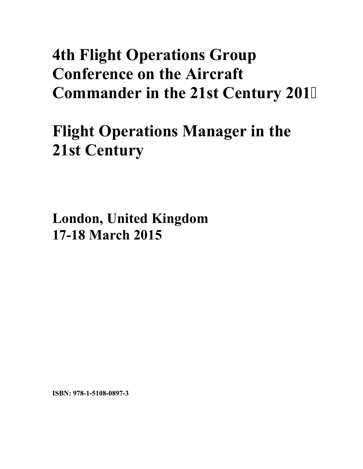# **4th Flight Operations Group Conference on the Aircraft Commander in the 21st Century 201**

# **Flight Operations Manager in the 21st Century**

**London, United Kingdom 17-18 March 2015**

**ISBN: 978-1-5108-0897-3**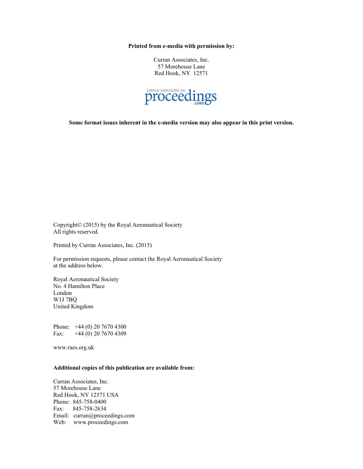**Printed from e-media with permission by:** 

Curran Associates, Inc. 57 Morehouse Lane Red Hook, NY 12571



**Some format issues inherent in the e-media version may also appear in this print version.** 

Copyright© (2015) by the Royal Aeronautical Society All rights reserved.

Printed by Curran Associates, Inc. (2015)

For permission requests, please contact the Royal Aeronautical Society at the address below.

Royal Aeronautical Society No. 4 Hamilton Place London W1J 7BQ United Kingdom

Phone: +44 (0) 20 7670 4300 Fax: +44 (0) 20 7670 4309

www.raes.org.uk

#### **Additional copies of this publication are available from:**

Curran Associates, Inc. 57 Morehouse Lane Red Hook, NY 12571 USA Phone: 845-758-0400 Fax: 845-758-2634 Email: curran@proceedings.com Web: www.proceedings.com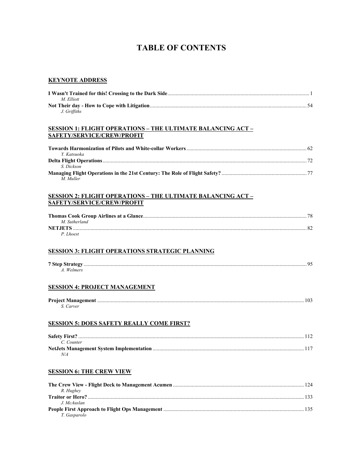## **TABLE OF CONTENTS**

#### **KEYNOTE ADDRESS**

| M. Elliott   |  |
|--------------|--|
|              |  |
| J. Griffiths |  |

#### **SESSION 1: FLIGHT OPERATIONS – THE ULTIMATE BALANCING ACT – SAFETY/SERVICE/CREW/PROFIT**

| Y Katsuoka |  |
|------------|--|
|            |  |
| S. Dickson |  |
|            |  |
| M Muller   |  |

#### **SESSION 2: FLIGHT OPERATIONS – THE ULTIMATE BALANCING ACT – SAFETY/SERVICE/CREW/PROFIT**

| M. Sutherland  |  |
|----------------|--|
| <b>NETJETS</b> |  |
| P Lhoest       |  |

#### **SESSION 3: FLIGHT OPERATIONS STRATEGIC PLANNING**

| A. Welmers |  |
|------------|--|
|------------|--|

#### **SESSION 4: PROJECT MANAGEMENT**

| S. Carver |  |
|-----------|--|

#### **SESSION 5: DOES SAFETY REALLY COME FIRST?**

| C. Counter |  |
|------------|--|
|            |  |
| N/A        |  |

#### **SESSION 6: THE CREW VIEW**

|              | 124 |
|--------------|-----|
| R. Hughev    |     |
|              |     |
| J McAuslan   |     |
|              |     |
| T. Gasparolo |     |